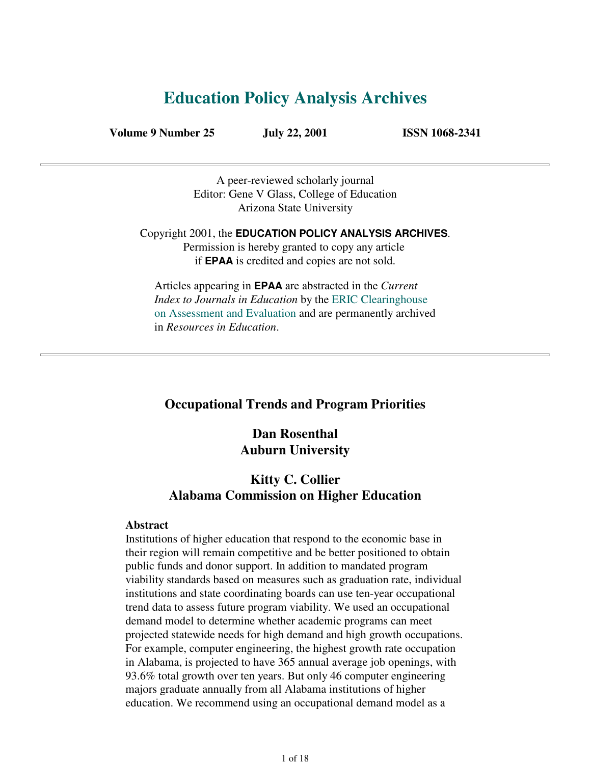# **Education Policy Analysis Archives**

**Volume 9 Number 25 July 22, 2001 ISSN 1068-2341**

A peer-reviewed scholarly journal Editor: Gene V Glass, College of Education Arizona State University

Copyright 2001, the **EDUCATION POLICY ANALYSIS ARCHIVES**. Permission is hereby granted to copy any article if **EPAA** is credited and copies are not sold.

Articles appearing in **EPAA** are abstracted in the *Current Index to Journals in Education* by the ERIC Clearinghouse on Assessment and Evaluation and are permanently archived in *Resources in Education*.

# **Occupational Trends and Program Priorities**

# **Dan Rosenthal Auburn University**

# **Kitty C. Collier Alabama Commission on Higher Education**

#### **Abstract**

Institutions of higher education that respond to the economic base in their region will remain competitive and be better positioned to obtain public funds and donor support. In addition to mandated program viability standards based on measures such as graduation rate, individual institutions and state coordinating boards can use ten-year occupational trend data to assess future program viability. We used an occupational demand model to determine whether academic programs can meet projected statewide needs for high demand and high growth occupations. For example, computer engineering, the highest growth rate occupation in Alabama, is projected to have 365 annual average job openings, with 93.6% total growth over ten years. But only 46 computer engineering majors graduate annually from all Alabama institutions of higher education. We recommend using an occupational demand model as a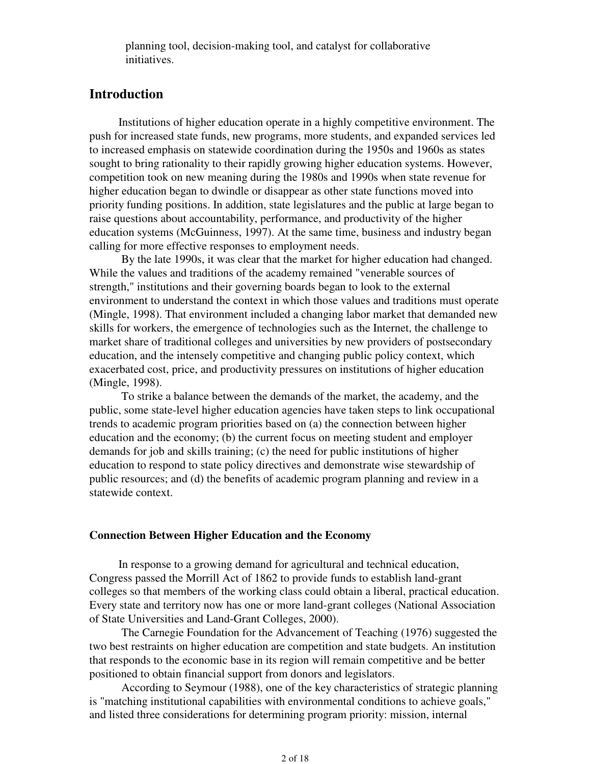planning tool, decision-making tool, and catalyst for collaborative initiatives.

# **Introduction**

Institutions of higher education operate in a highly competitive environment. The push for increased state funds, new programs, more students, and expanded services led to increased emphasis on statewide coordination during the 1950s and 1960s as states sought to bring rationality to their rapidly growing higher education systems. However, competition took on new meaning during the 1980s and 1990s when state revenue for higher education began to dwindle or disappear as other state functions moved into priority funding positions. In addition, state legislatures and the public at large began to raise questions about accountability, performance, and productivity of the higher education systems (McGuinness, 1997). At the same time, business and industry began calling for more effective responses to employment needs.

 By the late 1990s, it was clear that the market for higher education had changed. While the values and traditions of the academy remained "venerable sources of strength," institutions and their governing boards began to look to the external environment to understand the context in which those values and traditions must operate (Mingle, 1998). That environment included a changing labor market that demanded new skills for workers, the emergence of technologies such as the Internet, the challenge to market share of traditional colleges and universities by new providers of postsecondary education, and the intensely competitive and changing public policy context, which exacerbated cost, price, and productivity pressures on institutions of higher education (Mingle, 1998).

 To strike a balance between the demands of the market, the academy, and the public, some state-level higher education agencies have taken steps to link occupational trends to academic program priorities based on (a) the connection between higher education and the economy; (b) the current focus on meeting student and employer demands for job and skills training; (c) the need for public institutions of higher education to respond to state policy directives and demonstrate wise stewardship of public resources; and (d) the benefits of academic program planning and review in a statewide context.

### **Connection Between Higher Education and the Economy**

In response to a growing demand for agricultural and technical education, Congress passed the Morrill Act of 1862 to provide funds to establish land-grant colleges so that members of the working class could obtain a liberal, practical education. Every state and territory now has one or more land-grant colleges (National Association of State Universities and Land-Grant Colleges, 2000).

 The Carnegie Foundation for the Advancement of Teaching (1976) suggested the two best restraints on higher education are competition and state budgets. An institution that responds to the economic base in its region will remain competitive and be better positioned to obtain financial support from donors and legislators.

 According to Seymour (1988), one of the key characteristics of strategic planning is "matching institutional capabilities with environmental conditions to achieve goals," and listed three considerations for determining program priority: mission, internal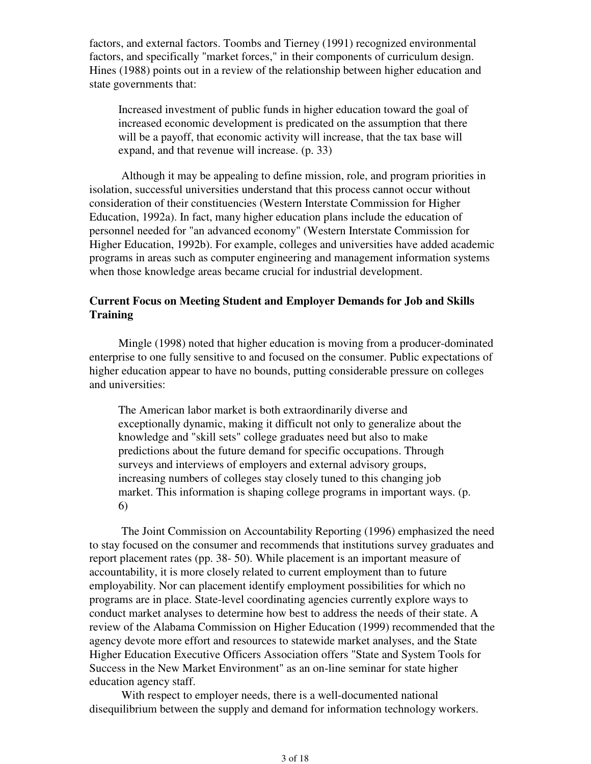factors, and external factors. Toombs and Tierney (1991) recognized environmental factors, and specifically "market forces," in their components of curriculum design. Hines (1988) points out in a review of the relationship between higher education and state governments that:

Increased investment of public funds in higher education toward the goal of increased economic development is predicated on the assumption that there will be a payoff, that economic activity will increase, that the tax base will expand, and that revenue will increase. (p. 33)

 Although it may be appealing to define mission, role, and program priorities in isolation, successful universities understand that this process cannot occur without consideration of their constituencies (Western Interstate Commission for Higher Education, 1992a). In fact, many higher education plans include the education of personnel needed for "an advanced economy" (Western Interstate Commission for Higher Education, 1992b). For example, colleges and universities have added academic programs in areas such as computer engineering and management information systems when those knowledge areas became crucial for industrial development.

## **Current Focus on Meeting Student and Employer Demands for Job and Skills Training**

Mingle (1998) noted that higher education is moving from a producer-dominated enterprise to one fully sensitive to and focused on the consumer. Public expectations of higher education appear to have no bounds, putting considerable pressure on colleges and universities:

The American labor market is both extraordinarily diverse and exceptionally dynamic, making it difficult not only to generalize about the knowledge and "skill sets" college graduates need but also to make predictions about the future demand for specific occupations. Through surveys and interviews of employers and external advisory groups, increasing numbers of colleges stay closely tuned to this changing job market. This information is shaping college programs in important ways. (p. 6)

 The Joint Commission on Accountability Reporting (1996) emphasized the need to stay focused on the consumer and recommends that institutions survey graduates and report placement rates (pp. 38- 50). While placement is an important measure of accountability, it is more closely related to current employment than to future employability. Nor can placement identify employment possibilities for which no programs are in place. State-level coordinating agencies currently explore ways to conduct market analyses to determine how best to address the needs of their state. A review of the Alabama Commission on Higher Education (1999) recommended that the agency devote more effort and resources to statewide market analyses, and the State Higher Education Executive Officers Association offers "State and System Tools for Success in the New Market Environment" as an on-line seminar for state higher education agency staff.

 With respect to employer needs, there is a well-documented national disequilibrium between the supply and demand for information technology workers.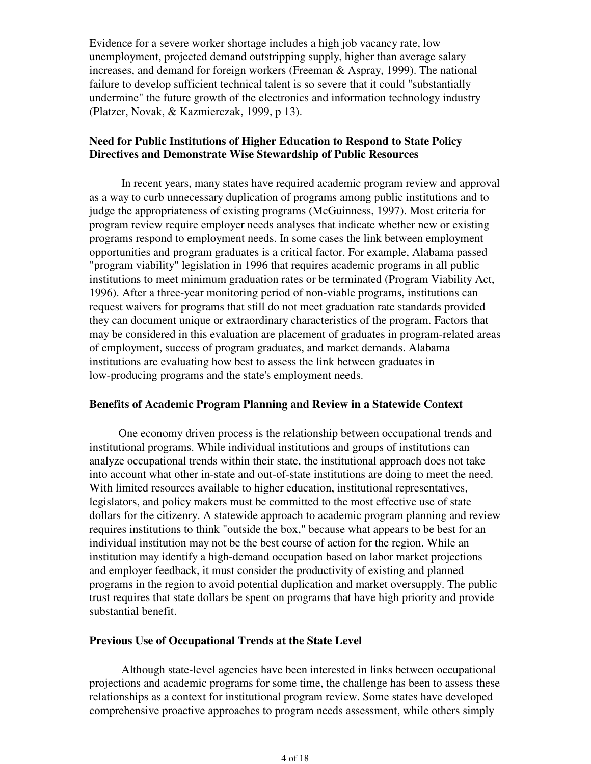Evidence for a severe worker shortage includes a high job vacancy rate, low unemployment, projected demand outstripping supply, higher than average salary increases, and demand for foreign workers (Freeman & Aspray, 1999). The national failure to develop sufficient technical talent is so severe that it could "substantially undermine" the future growth of the electronics and information technology industry (Platzer, Novak, & Kazmierczak, 1999, p 13).

## **Need for Public Institutions of Higher Education to Respond to State Policy Directives and Demonstrate Wise Stewardship of Public Resources**

 In recent years, many states have required academic program review and approval as a way to curb unnecessary duplication of programs among public institutions and to judge the appropriateness of existing programs (McGuinness, 1997). Most criteria for program review require employer needs analyses that indicate whether new or existing programs respond to employment needs. In some cases the link between employment opportunities and program graduates is a critical factor. For example, Alabama passed "program viability" legislation in 1996 that requires academic programs in all public institutions to meet minimum graduation rates or be terminated (Program Viability Act, 1996). After a three-year monitoring period of non-viable programs, institutions can request waivers for programs that still do not meet graduation rate standards provided they can document unique or extraordinary characteristics of the program. Factors that may be considered in this evaluation are placement of graduates in program-related areas of employment, success of program graduates, and market demands. Alabama institutions are evaluating how best to assess the link between graduates in low-producing programs and the state's employment needs.

### **Benefits of Academic Program Planning and Review in a Statewide Context**

One economy driven process is the relationship between occupational trends and institutional programs. While individual institutions and groups of institutions can analyze occupational trends within their state, the institutional approach does not take into account what other in-state and out-of-state institutions are doing to meet the need. With limited resources available to higher education, institutional representatives, legislators, and policy makers must be committed to the most effective use of state dollars for the citizenry. A statewide approach to academic program planning and review requires institutions to think "outside the box," because what appears to be best for an individual institution may not be the best course of action for the region. While an institution may identify a high-demand occupation based on labor market projections and employer feedback, it must consider the productivity of existing and planned programs in the region to avoid potential duplication and market oversupply. The public trust requires that state dollars be spent on programs that have high priority and provide substantial benefit.

### **Previous Use of Occupational Trends at the State Level**

 Although state-level agencies have been interested in links between occupational projections and academic programs for some time, the challenge has been to assess these relationships as a context for institutional program review. Some states have developed comprehensive proactive approaches to program needs assessment, while others simply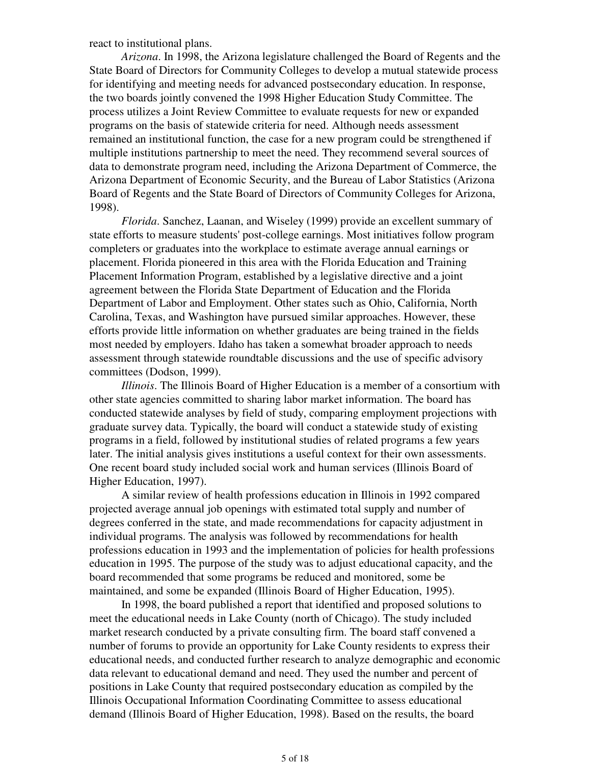react to institutional plans.

*Arizona*. In 1998, the Arizona legislature challenged the Board of Regents and the State Board of Directors for Community Colleges to develop a mutual statewide process for identifying and meeting needs for advanced postsecondary education. In response, the two boards jointly convened the 1998 Higher Education Study Committee. The process utilizes a Joint Review Committee to evaluate requests for new or expanded programs on the basis of statewide criteria for need. Although needs assessment remained an institutional function, the case for a new program could be strengthened if multiple institutions partnership to meet the need. They recommend several sources of data to demonstrate program need, including the Arizona Department of Commerce, the Arizona Department of Economic Security, and the Bureau of Labor Statistics (Arizona Board of Regents and the State Board of Directors of Community Colleges for Arizona, 1998).

*Florida*. Sanchez, Laanan, and Wiseley (1999) provide an excellent summary of state efforts to measure students' post-college earnings. Most initiatives follow program completers or graduates into the workplace to estimate average annual earnings or placement. Florida pioneered in this area with the Florida Education and Training Placement Information Program, established by a legislative directive and a joint agreement between the Florida State Department of Education and the Florida Department of Labor and Employment. Other states such as Ohio, California, North Carolina, Texas, and Washington have pursued similar approaches. However, these efforts provide little information on whether graduates are being trained in the fields most needed by employers. Idaho has taken a somewhat broader approach to needs assessment through statewide roundtable discussions and the use of specific advisory committees (Dodson, 1999).

*Illinois*. The Illinois Board of Higher Education is a member of a consortium with other state agencies committed to sharing labor market information. The board has conducted statewide analyses by field of study, comparing employment projections with graduate survey data. Typically, the board will conduct a statewide study of existing programs in a field, followed by institutional studies of related programs a few years later. The initial analysis gives institutions a useful context for their own assessments. One recent board study included social work and human services (Illinois Board of Higher Education, 1997).

 A similar review of health professions education in Illinois in 1992 compared projected average annual job openings with estimated total supply and number of degrees conferred in the state, and made recommendations for capacity adjustment in individual programs. The analysis was followed by recommendations for health professions education in 1993 and the implementation of policies for health professions education in 1995. The purpose of the study was to adjust educational capacity, and the board recommended that some programs be reduced and monitored, some be maintained, and some be expanded (Illinois Board of Higher Education, 1995).

 In 1998, the board published a report that identified and proposed solutions to meet the educational needs in Lake County (north of Chicago). The study included market research conducted by a private consulting firm. The board staff convened a number of forums to provide an opportunity for Lake County residents to express their educational needs, and conducted further research to analyze demographic and economic data relevant to educational demand and need. They used the number and percent of positions in Lake County that required postsecondary education as compiled by the Illinois Occupational Information Coordinating Committee to assess educational demand (Illinois Board of Higher Education, 1998). Based on the results, the board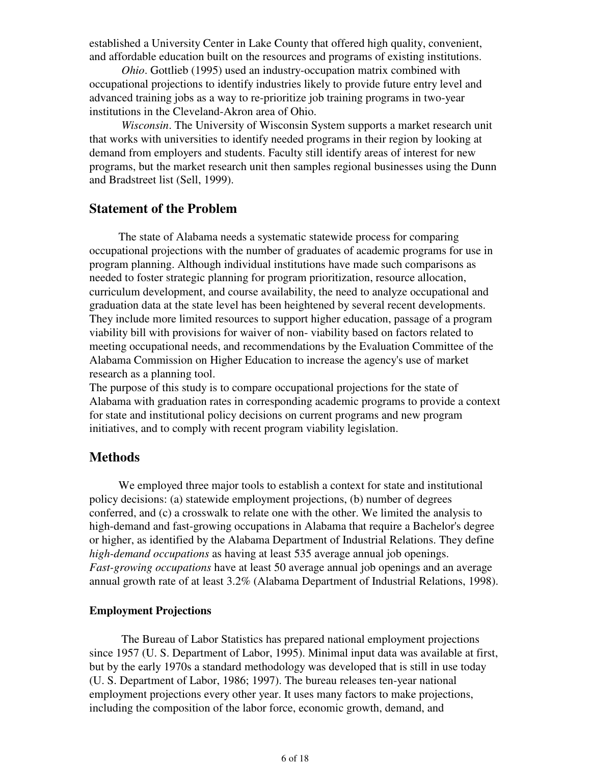established a University Center in Lake County that offered high quality, convenient, and affordable education built on the resources and programs of existing institutions.

*Ohio*. Gottlieb (1995) used an industry-occupation matrix combined with occupational projections to identify industries likely to provide future entry level and advanced training jobs as a way to re-prioritize job training programs in two-year institutions in the Cleveland-Akron area of Ohio.

*Wisconsin*. The University of Wisconsin System supports a market research unit that works with universities to identify needed programs in their region by looking at demand from employers and students. Faculty still identify areas of interest for new programs, but the market research unit then samples regional businesses using the Dunn and Bradstreet list (Sell, 1999).

# **Statement of the Problem**

The state of Alabama needs a systematic statewide process for comparing occupational projections with the number of graduates of academic programs for use in program planning. Although individual institutions have made such comparisons as needed to foster strategic planning for program prioritization, resource allocation, curriculum development, and course availability, the need to analyze occupational and graduation data at the state level has been heightened by several recent developments. They include more limited resources to support higher education, passage of a program viability bill with provisions for waiver of non- viability based on factors related to meeting occupational needs, and recommendations by the Evaluation Committee of the Alabama Commission on Higher Education to increase the agency's use of market research as a planning tool.

The purpose of this study is to compare occupational projections for the state of Alabama with graduation rates in corresponding academic programs to provide a context for state and institutional policy decisions on current programs and new program initiatives, and to comply with recent program viability legislation.

## **Methods**

We employed three major tools to establish a context for state and institutional policy decisions: (a) statewide employment projections, (b) number of degrees conferred, and (c) a crosswalk to relate one with the other. We limited the analysis to high-demand and fast-growing occupations in Alabama that require a Bachelor's degree or higher, as identified by the Alabama Department of Industrial Relations. They define *high-demand occupations* as having at least 535 average annual job openings. *Fast-growing occupations* have at least 50 average annual job openings and an average annual growth rate of at least 3.2% (Alabama Department of Industrial Relations, 1998).

## **Employment Projections**

 The Bureau of Labor Statistics has prepared national employment projections since 1957 (U. S. Department of Labor, 1995). Minimal input data was available at first, but by the early 1970s a standard methodology was developed that is still in use today (U. S. Department of Labor, 1986; 1997). The bureau releases ten-year national employment projections every other year. It uses many factors to make projections, including the composition of the labor force, economic growth, demand, and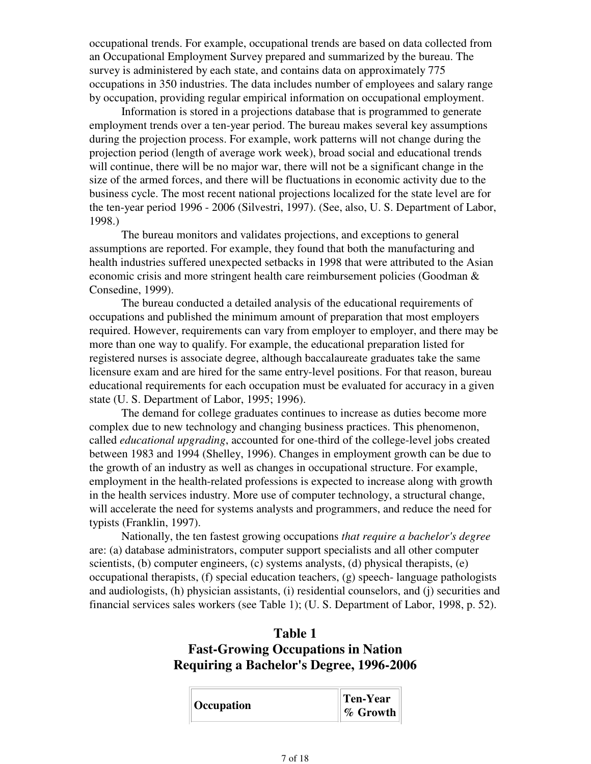occupational trends. For example, occupational trends are based on data collected from an Occupational Employment Survey prepared and summarized by the bureau. The survey is administered by each state, and contains data on approximately 775 occupations in 350 industries. The data includes number of employees and salary range by occupation, providing regular empirical information on occupational employment.

 Information is stored in a projections database that is programmed to generate employment trends over a ten-year period. The bureau makes several key assumptions during the projection process. For example, work patterns will not change during the projection period (length of average work week), broad social and educational trends will continue, there will be no major war, there will not be a significant change in the size of the armed forces, and there will be fluctuations in economic activity due to the business cycle. The most recent national projections localized for the state level are for the ten-year period 1996 - 2006 (Silvestri, 1997). (See, also, U. S. Department of Labor, 1998.)

 The bureau monitors and validates projections, and exceptions to general assumptions are reported. For example, they found that both the manufacturing and health industries suffered unexpected setbacks in 1998 that were attributed to the Asian economic crisis and more stringent health care reimbursement policies (Goodman & Consedine, 1999).

 The bureau conducted a detailed analysis of the educational requirements of occupations and published the minimum amount of preparation that most employers required. However, requirements can vary from employer to employer, and there may be more than one way to qualify. For example, the educational preparation listed for registered nurses is associate degree, although baccalaureate graduates take the same licensure exam and are hired for the same entry-level positions. For that reason, bureau educational requirements for each occupation must be evaluated for accuracy in a given state (U. S. Department of Labor, 1995; 1996).

 The demand for college graduates continues to increase as duties become more complex due to new technology and changing business practices. This phenomenon, called *educational upgrading*, accounted for one-third of the college-level jobs created between 1983 and 1994 (Shelley, 1996). Changes in employment growth can be due to the growth of an industry as well as changes in occupational structure. For example, employment in the health-related professions is expected to increase along with growth in the health services industry. More use of computer technology, a structural change, will accelerate the need for systems analysts and programmers, and reduce the need for typists (Franklin, 1997).

 Nationally, the ten fastest growing occupations *that require a bachelor's degree* are: (a) database administrators, computer support specialists and all other computer scientists, (b) computer engineers, (c) systems analysts, (d) physical therapists, (e) occupational therapists,  $(f)$  special education teachers,  $(g)$  speech- language pathologists and audiologists, (h) physician assistants, (i) residential counselors, and (j) securities and financial services sales workers (see Table 1); (U. S. Department of Labor, 1998, p. 52).

# **Table 1 Fast-Growing Occupations in Nation Requiring a Bachelor's Degree, 1996-2006**

|  | $\parallel$ Occupation | Ten-Year |
|--|------------------------|----------|
|  |                        | % Growth |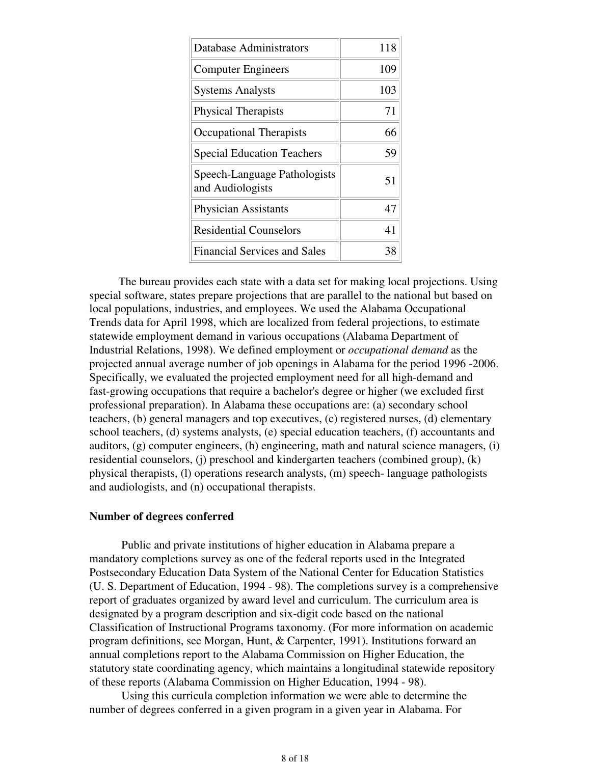| Database Administrators                          | 118 |
|--------------------------------------------------|-----|
| <b>Computer Engineers</b>                        | 109 |
| <b>Systems Analysts</b>                          | 103 |
| <b>Physical Therapists</b>                       | 71  |
| <b>Occupational Therapists</b>                   | 66  |
| <b>Special Education Teachers</b>                | 59  |
| Speech-Language Pathologists<br>and Audiologists | 51  |
| <b>Physician Assistants</b>                      | 47  |
| <b>Residential Counselors</b>                    | 41  |
| <b>Financial Services and Sales</b>              |     |

The bureau provides each state with a data set for making local projections. Using special software, states prepare projections that are parallel to the national but based on local populations, industries, and employees. We used the Alabama Occupational Trends data for April 1998, which are localized from federal projections, to estimate statewide employment demand in various occupations (Alabama Department of Industrial Relations, 1998). We defined employment or *occupational demand* as the projected annual average number of job openings in Alabama for the period 1996 -2006. Specifically, we evaluated the projected employment need for all high-demand and fast-growing occupations that require a bachelor's degree or higher (we excluded first professional preparation). In Alabama these occupations are: (a) secondary school teachers, (b) general managers and top executives, (c) registered nurses, (d) elementary school teachers, (d) systems analysts, (e) special education teachers, (f) accountants and auditors, (g) computer engineers, (h) engineering, math and natural science managers, (i) residential counselors, (j) preschool and kindergarten teachers (combined group), (k) physical therapists, (l) operations research analysts, (m) speech- language pathologists and audiologists, and (n) occupational therapists.

### **Number of degrees conferred**

 Public and private institutions of higher education in Alabama prepare a mandatory completions survey as one of the federal reports used in the Integrated Postsecondary Education Data System of the National Center for Education Statistics (U. S. Department of Education, 1994 - 98). The completions survey is a comprehensive report of graduates organized by award level and curriculum. The curriculum area is designated by a program description and six-digit code based on the national Classification of Instructional Programs taxonomy. (For more information on academic program definitions, see Morgan, Hunt, & Carpenter, 1991). Institutions forward an annual completions report to the Alabama Commission on Higher Education, the statutory state coordinating agency, which maintains a longitudinal statewide repository of these reports (Alabama Commission on Higher Education, 1994 - 98).

 Using this curricula completion information we were able to determine the number of degrees conferred in a given program in a given year in Alabama. For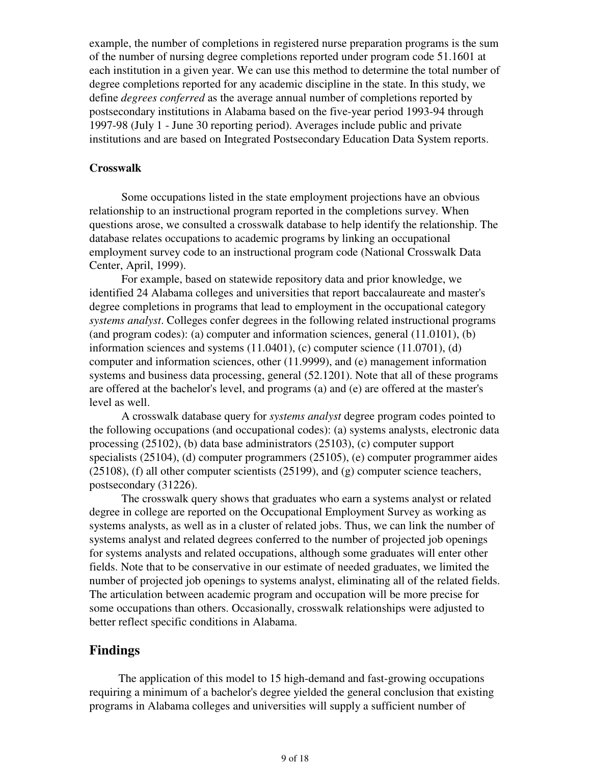example, the number of completions in registered nurse preparation programs is the sum of the number of nursing degree completions reported under program code 51.1601 at each institution in a given year. We can use this method to determine the total number of degree completions reported for any academic discipline in the state. In this study, we define *degrees conferred* as the average annual number of completions reported by postsecondary institutions in Alabama based on the five-year period 1993-94 through 1997-98 (July 1 - June 30 reporting period). Averages include public and private institutions and are based on Integrated Postsecondary Education Data System reports.

#### **Crosswalk**

 Some occupations listed in the state employment projections have an obvious relationship to an instructional program reported in the completions survey. When questions arose, we consulted a crosswalk database to help identify the relationship. The database relates occupations to academic programs by linking an occupational employment survey code to an instructional program code (National Crosswalk Data Center, April, 1999).

 For example, based on statewide repository data and prior knowledge, we identified 24 Alabama colleges and universities that report baccalaureate and master's degree completions in programs that lead to employment in the occupational category *systems analyst*. Colleges confer degrees in the following related instructional programs (and program codes): (a) computer and information sciences, general (11.0101), (b) information sciences and systems  $(11.0401)$ , (c) computer science  $(11.0701)$ , (d) computer and information sciences, other (11.9999), and (e) management information systems and business data processing, general (52.1201). Note that all of these programs are offered at the bachelor's level, and programs (a) and (e) are offered at the master's level as well.

 A crosswalk database query for *systems analyst* degree program codes pointed to the following occupations (and occupational codes): (a) systems analysts, electronic data processing (25102), (b) data base administrators (25103), (c) computer support specialists (25104), (d) computer programmers (25105), (e) computer programmer aides (25108), (f) all other computer scientists (25199), and (g) computer science teachers, postsecondary (31226).

 The crosswalk query shows that graduates who earn a systems analyst or related degree in college are reported on the Occupational Employment Survey as working as systems analysts, as well as in a cluster of related jobs. Thus, we can link the number of systems analyst and related degrees conferred to the number of projected job openings for systems analysts and related occupations, although some graduates will enter other fields. Note that to be conservative in our estimate of needed graduates, we limited the number of projected job openings to systems analyst, eliminating all of the related fields. The articulation between academic program and occupation will be more precise for some occupations than others. Occasionally, crosswalk relationships were adjusted to better reflect specific conditions in Alabama.

### **Findings**

The application of this model to 15 high-demand and fast-growing occupations requiring a minimum of a bachelor's degree yielded the general conclusion that existing programs in Alabama colleges and universities will supply a sufficient number of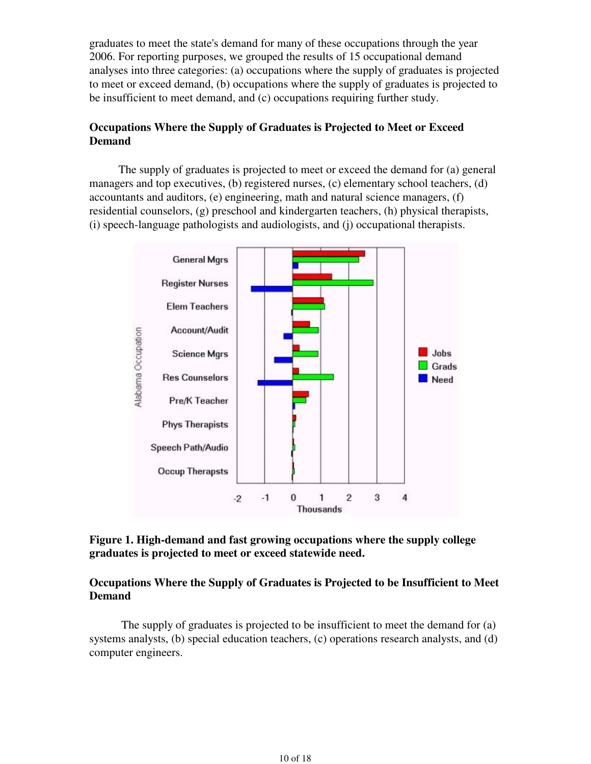graduates to meet the state's demand for many of these occupations through the year 2006. For reporting purposes, we grouped the results of 15 occupational demand analyses into three categories: (a) occupations where the supply of graduates is projected to meet or exceed demand, (b) occupations where the supply of graduates is projected to be insufficient to meet demand, and (c) occupations requiring further study.

## **Occupations Where the Supply of Graduates is Projected to Meet or Exceed Demand**

The supply of graduates is projected to meet or exceed the demand for (a) general managers and top executives, (b) registered nurses, (c) elementary school teachers, (d) accountants and auditors, (e) engineering, math and natural science managers, (f) residential counselors, (g) preschool and kindergarten teachers, (h) physical therapists, (i) speech-language pathologists and audiologists, and (j) occupational therapists.



## **Figure 1. High-demand and fast growing occupations where the supply college graduates is projected to meet or exceed statewide need.**

## **Occupations Where the Supply of Graduates is Projected to be Insufficient to Meet Demand**

 The supply of graduates is projected to be insufficient to meet the demand for (a) systems analysts, (b) special education teachers, (c) operations research analysts, and (d) computer engineers.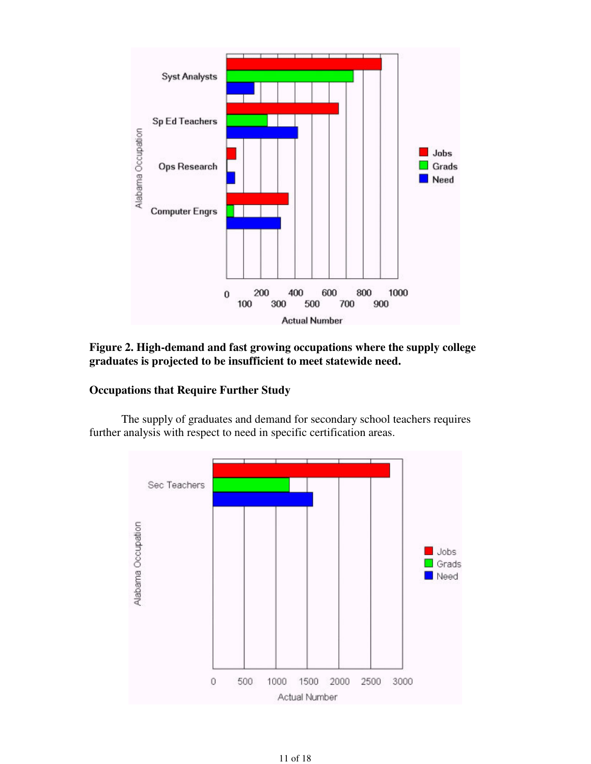

**Figure 2. High-demand and fast growing occupations where the supply college graduates is projected to be insufficient to meet statewide need.**

# **Occupations that Require Further Study**

 The supply of graduates and demand for secondary school teachers requires further analysis with respect to need in specific certification areas.

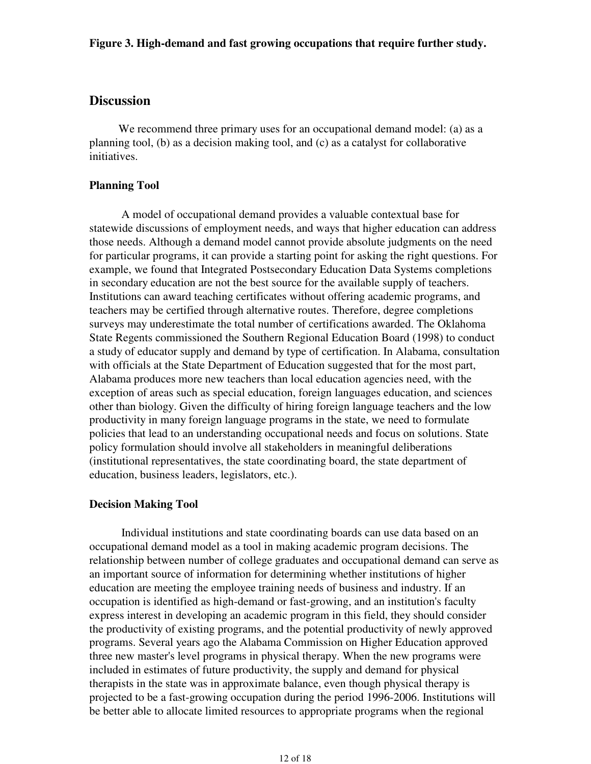# **Discussion**

We recommend three primary uses for an occupational demand model: (a) as a planning tool, (b) as a decision making tool, and (c) as a catalyst for collaborative initiatives.

## **Planning Tool**

 A model of occupational demand provides a valuable contextual base for statewide discussions of employment needs, and ways that higher education can address those needs. Although a demand model cannot provide absolute judgments on the need for particular programs, it can provide a starting point for asking the right questions. For example, we found that Integrated Postsecondary Education Data Systems completions in secondary education are not the best source for the available supply of teachers. Institutions can award teaching certificates without offering academic programs, and teachers may be certified through alternative routes. Therefore, degree completions surveys may underestimate the total number of certifications awarded. The Oklahoma State Regents commissioned the Southern Regional Education Board (1998) to conduct a study of educator supply and demand by type of certification. In Alabama, consultation with officials at the State Department of Education suggested that for the most part, Alabama produces more new teachers than local education agencies need, with the exception of areas such as special education, foreign languages education, and sciences other than biology. Given the difficulty of hiring foreign language teachers and the low productivity in many foreign language programs in the state, we need to formulate policies that lead to an understanding occupational needs and focus on solutions. State policy formulation should involve all stakeholders in meaningful deliberations (institutional representatives, the state coordinating board, the state department of education, business leaders, legislators, etc.).

## **Decision Making Tool**

 Individual institutions and state coordinating boards can use data based on an occupational demand model as a tool in making academic program decisions. The relationship between number of college graduates and occupational demand can serve as an important source of information for determining whether institutions of higher education are meeting the employee training needs of business and industry. If an occupation is identified as high-demand or fast-growing, and an institution's faculty express interest in developing an academic program in this field, they should consider the productivity of existing programs, and the potential productivity of newly approved programs. Several years ago the Alabama Commission on Higher Education approved three new master's level programs in physical therapy. When the new programs were included in estimates of future productivity, the supply and demand for physical therapists in the state was in approximate balance, even though physical therapy is projected to be a fast-growing occupation during the period 1996-2006. Institutions will be better able to allocate limited resources to appropriate programs when the regional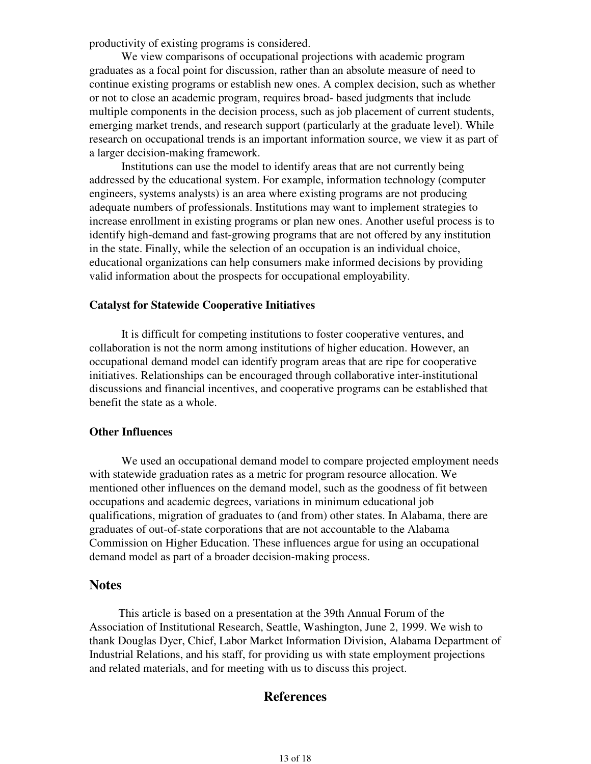productivity of existing programs is considered.

 We view comparisons of occupational projections with academic program graduates as a focal point for discussion, rather than an absolute measure of need to continue existing programs or establish new ones. A complex decision, such as whether or not to close an academic program, requires broad- based judgments that include multiple components in the decision process, such as job placement of current students, emerging market trends, and research support (particularly at the graduate level). While research on occupational trends is an important information source, we view it as part of a larger decision-making framework.

 Institutions can use the model to identify areas that are not currently being addressed by the educational system. For example, information technology (computer engineers, systems analysts) is an area where existing programs are not producing adequate numbers of professionals. Institutions may want to implement strategies to increase enrollment in existing programs or plan new ones. Another useful process is to identify high-demand and fast-growing programs that are not offered by any institution in the state. Finally, while the selection of an occupation is an individual choice, educational organizations can help consumers make informed decisions by providing valid information about the prospects for occupational employability.

#### **Catalyst for Statewide Cooperative Initiatives**

 It is difficult for competing institutions to foster cooperative ventures, and collaboration is not the norm among institutions of higher education. However, an occupational demand model can identify program areas that are ripe for cooperative initiatives. Relationships can be encouraged through collaborative inter-institutional discussions and financial incentives, and cooperative programs can be established that benefit the state as a whole.

### **Other Influences**

 We used an occupational demand model to compare projected employment needs with statewide graduation rates as a metric for program resource allocation. We mentioned other influences on the demand model, such as the goodness of fit between occupations and academic degrees, variations in minimum educational job qualifications, migration of graduates to (and from) other states. In Alabama, there are graduates of out-of-state corporations that are not accountable to the Alabama Commission on Higher Education. These influences argue for using an occupational demand model as part of a broader decision-making process.

## **Notes**

This article is based on a presentation at the 39th Annual Forum of the Association of Institutional Research, Seattle, Washington, June 2, 1999. We wish to thank Douglas Dyer, Chief, Labor Market Information Division, Alabama Department of Industrial Relations, and his staff, for providing us with state employment projections and related materials, and for meeting with us to discuss this project.

# **References**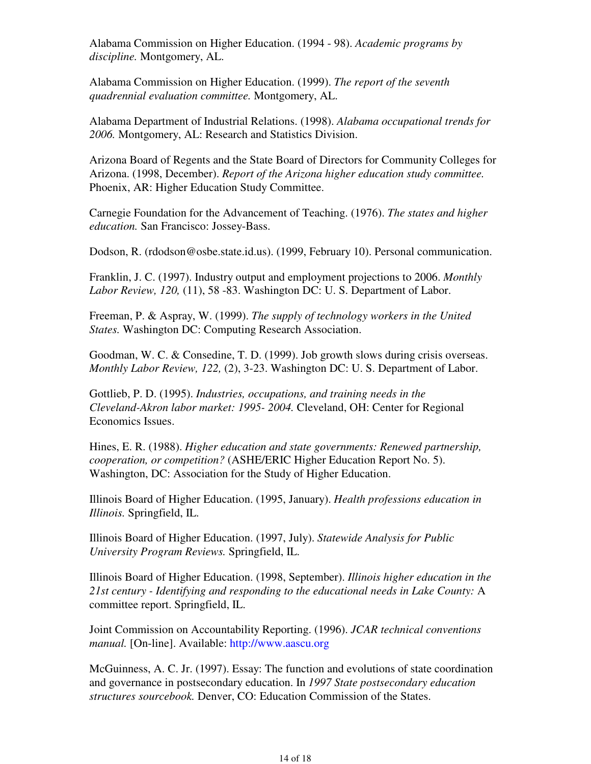Alabama Commission on Higher Education. (1994 - 98). *Academic programs by discipline.* Montgomery, AL.

Alabama Commission on Higher Education. (1999). *The report of the seventh quadrennial evaluation committee.* Montgomery, AL.

Alabama Department of Industrial Relations. (1998). *Alabama occupational trends for 2006.* Montgomery, AL: Research and Statistics Division.

Arizona Board of Regents and the State Board of Directors for Community Colleges for Arizona. (1998, December). *Report of the Arizona higher education study committee.* Phoenix, AR: Higher Education Study Committee.

Carnegie Foundation for the Advancement of Teaching. (1976). *The states and higher education.* San Francisco: Jossey-Bass.

Dodson, R. (rdodson@osbe.state.id.us). (1999, February 10). Personal communication.

Franklin, J. C. (1997). Industry output and employment projections to 2006. *Monthly Labor Review, 120,* (11), 58 -83. Washington DC: U. S. Department of Labor.

Freeman, P. & Aspray, W. (1999). *The supply of technology workers in the United States.* Washington DC: Computing Research Association.

Goodman, W. C. & Consedine, T. D. (1999). Job growth slows during crisis overseas. *Monthly Labor Review, 122,* (2), 3-23. Washington DC: U. S. Department of Labor.

Gottlieb, P. D. (1995). *Industries, occupations, and training needs in the Cleveland-Akron labor market: 1995- 2004.* Cleveland, OH: Center for Regional Economics Issues.

Hines, E. R. (1988). *Higher education and state governments: Renewed partnership, cooperation, or competition?* (ASHE/ERIC Higher Education Report No. 5). Washington, DC: Association for the Study of Higher Education.

Illinois Board of Higher Education. (1995, January). *Health professions education in Illinois.* Springfield, IL.

Illinois Board of Higher Education. (1997, July). *Statewide Analysis for Public University Program Reviews.* Springfield, IL.

Illinois Board of Higher Education. (1998, September). *Illinois higher education in the 21st century - Identifying and responding to the educational needs in Lake County:* A committee report. Springfield, IL.

Joint Commission on Accountability Reporting. (1996). *JCAR technical conventions manual.* [On-line]. Available: http://www.aascu.org

McGuinness, A. C. Jr. (1997). Essay: The function and evolutions of state coordination and governance in postsecondary education. In *1997 State postsecondary education structures sourcebook.* Denver, CO: Education Commission of the States.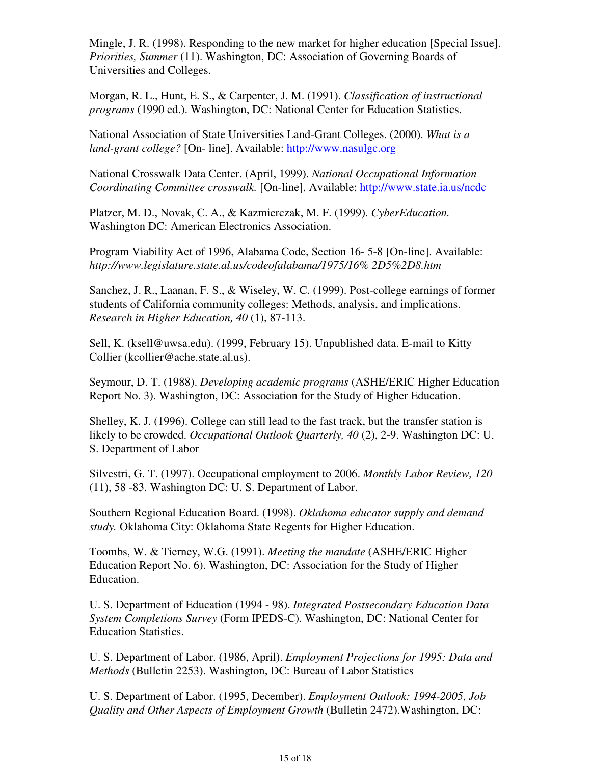Mingle, J. R. (1998). Responding to the new market for higher education [Special Issue]. *Priorities, Summer* (11). Washington, DC: Association of Governing Boards of Universities and Colleges.

Morgan, R. L., Hunt, E. S., & Carpenter, J. M. (1991). *Classification of instructional programs* (1990 ed.). Washington, DC: National Center for Education Statistics.

National Association of State Universities Land-Grant Colleges. (2000). *What is a land-grant college?* [On- line]. Available: http://www.nasulgc.org

National Crosswalk Data Center. (April, 1999). *National Occupational Information Coordinating Committee crosswalk.* [On-line]. Available: http://www.state.ia.us/ncdc

Platzer, M. D., Novak, C. A., & Kazmierczak, M. F. (1999). *CyberEducation.* Washington DC: American Electronics Association.

Program Viability Act of 1996, Alabama Code, Section 16- 5-8 [On-line]. Available: *http://www.legislature.state.al.us/codeofalabama/1975/16% 2D5%2D8.htm*

Sanchez, J. R., Laanan, F. S., & Wiseley, W. C. (1999). Post-college earnings of former students of California community colleges: Methods, analysis, and implications. *Research in Higher Education, 40* (1), 87-113.

Sell, K. (ksell@uwsa.edu). (1999, February 15). Unpublished data. E-mail to Kitty Collier (kcollier@ache.state.al.us).

Seymour, D. T. (1988). *Developing academic programs* (ASHE/ERIC Higher Education Report No. 3). Washington, DC: Association for the Study of Higher Education.

Shelley, K. J. (1996). College can still lead to the fast track, but the transfer station is likely to be crowded. *Occupational Outlook Quarterly, 40* (2), 2-9. Washington DC: U. S. Department of Labor

Silvestri, G. T. (1997). Occupational employment to 2006. *Monthly Labor Review, 120* (11), 58 -83. Washington DC: U. S. Department of Labor.

Southern Regional Education Board. (1998). *Oklahoma educator supply and demand study.* Oklahoma City: Oklahoma State Regents for Higher Education.

Toombs, W. & Tierney, W.G. (1991). *Meeting the mandate* (ASHE/ERIC Higher Education Report No. 6). Washington, DC: Association for the Study of Higher Education.

U. S. Department of Education (1994 - 98). *Integrated Postsecondary Education Data System Completions Survey* (Form IPEDS-C). Washington, DC: National Center for Education Statistics.

U. S. Department of Labor. (1986, April). *Employment Projections for 1995: Data and Methods* (Bulletin 2253). Washington, DC: Bureau of Labor Statistics

U. S. Department of Labor. (1995, December). *Employment Outlook: 1994-2005, Job Quality and Other Aspects of Employment Growth* (Bulletin 2472).Washington, DC: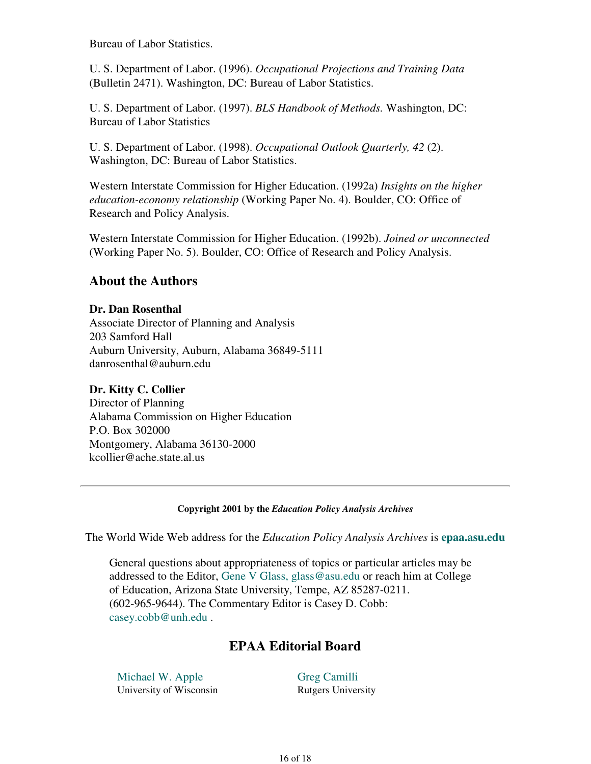Bureau of Labor Statistics.

U. S. Department of Labor. (1996). *Occupational Projections and Training Data* (Bulletin 2471). Washington, DC: Bureau of Labor Statistics.

U. S. Department of Labor. (1997). *BLS Handbook of Methods.* Washington, DC: Bureau of Labor Statistics

U. S. Department of Labor. (1998). *Occupational Outlook Quarterly, 42* (2). Washington, DC: Bureau of Labor Statistics.

Western Interstate Commission for Higher Education. (1992a) *Insights on the higher education-economy relationship* (Working Paper No. 4). Boulder, CO: Office of Research and Policy Analysis.

Western Interstate Commission for Higher Education. (1992b). *Joined or unconnected* (Working Paper No. 5). Boulder, CO: Office of Research and Policy Analysis.

# **About the Authors**

## **Dr. Dan Rosenthal**

Associate Director of Planning and Analysis 203 Samford Hall Auburn University, Auburn, Alabama 36849-5111 danrosenthal@auburn.edu

# **Dr. Kitty C. Collier**

Director of Planning Alabama Commission on Higher Education P.O. Box 302000 Montgomery, Alabama 36130-2000 kcollier@ache.state.al.us

### **Copyright 2001 by the** *Education Policy Analysis Archives*

The World Wide Web address for the *Education Policy Analysis Archives* is **epaa.asu.edu**

General questions about appropriateness of topics or particular articles may be addressed to the Editor, Gene V Glass, glass@asu.edu or reach him at College of Education, Arizona State University, Tempe, AZ 85287-0211. (602-965-9644). The Commentary Editor is Casey D. Cobb: casey.cobb@unh.edu .

# **EPAA Editorial Board**

Michael W. Apple University of Wisconsin Greg Camilli Rutgers University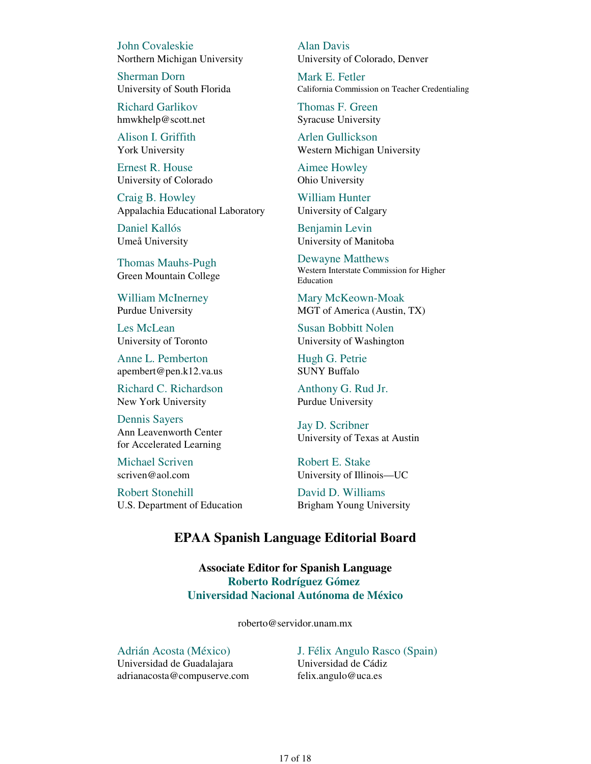John Covaleskie Northern Michigan University

Sherman Dorn University of South Florida

Richard Garlikov hmwkhelp@scott.net

Alison I. Griffith York University

Ernest R. House University of Colorado

Craig B. Howley Appalachia Educational Laboratory

Daniel Kallós Umeå University

Thomas Mauhs-Pugh Green Mountain College

William McInerney Purdue University

Les McLean University of Toronto

Anne L. Pemberton apembert@pen.k12.va.us

Richard C. Richardson New York University

Dennis Sayers Ann Leavenworth Center for Accelerated Learning

Michael Scriven scriven@aol.com

Robert Stonehill U.S. Department of Education Alan Davis University of Colorado, Denver

Mark E. Fetler California Commission on Teacher Credentialing

Thomas F. Green Syracuse University

Arlen Gullickson Western Michigan University

Aimee Howley Ohio University

William Hunter University of Calgary

Benjamin Levin University of Manitoba

Dewayne Matthews Western Interstate Commission for Higher Education

Mary McKeown-Moak MGT of America (Austin, TX)

Susan Bobbitt Nolen University of Washington

Hugh G. Petrie SUNY Buffalo

Anthony G. Rud Jr. Purdue University

Jay D. Scribner University of Texas at Austin

Robert E. Stake University of Illinois—UC

David D. Williams Brigham Young University

## **EPAA Spanish Language Editorial Board**

**Associate Editor for Spanish Language Roberto Rodríguez Gómez Universidad Nacional Autónoma de México**

roberto@servidor.unam.mx

Adrián Acosta (México) Universidad de Guadalajara adrianacosta@compuserve.com J. Félix Angulo Rasco (Spain) Universidad de Cádiz felix.angulo@uca.es